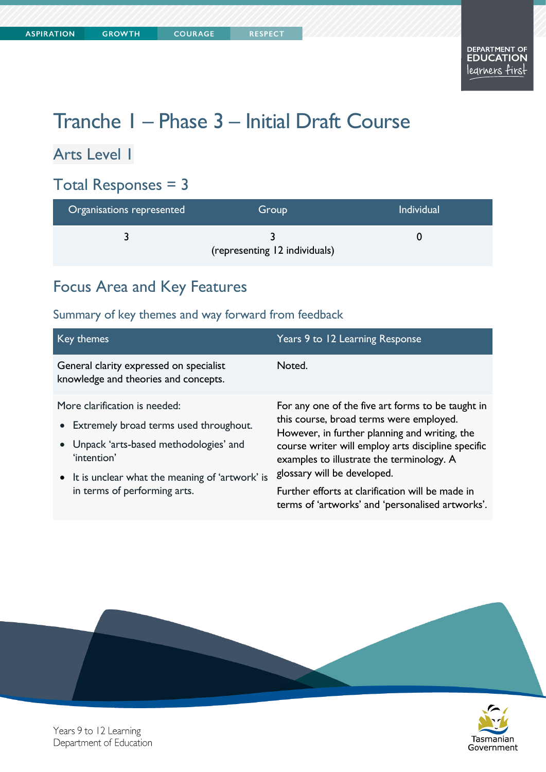**COURAGE** 

# Tranche 1 – Phase 3 – Initial Draft Course

## Arts Level 1

### Total Responses = 3

| Organisations represented | Group                         | <b>Individual</b> |
|---------------------------|-------------------------------|-------------------|
|                           | (representing 12 individuals) |                   |

### Focus Area and Key Features

| Key themes                                                                                                                                                                                                              | Years 9 to 12 Learning Response                                                                                                                                                                                                                                                                                                                                                         |
|-------------------------------------------------------------------------------------------------------------------------------------------------------------------------------------------------------------------------|-----------------------------------------------------------------------------------------------------------------------------------------------------------------------------------------------------------------------------------------------------------------------------------------------------------------------------------------------------------------------------------------|
| General clarity expressed on specialist<br>knowledge and theories and concepts.                                                                                                                                         | Noted.                                                                                                                                                                                                                                                                                                                                                                                  |
| More clarification is needed:<br>• Extremely broad terms used throughout.<br>• Unpack 'arts-based methodologies' and<br>'intention'<br>• It is unclear what the meaning of 'artwork' is<br>in terms of performing arts. | For any one of the five art forms to be taught in<br>this course, broad terms were employed.<br>However, in further planning and writing, the<br>course writer will employ arts discipline specific<br>examples to illustrate the terminology. A<br>glossary will be developed.<br>Further efforts at clarification will be made in<br>terms of 'artworks' and 'personalised artworks'. |



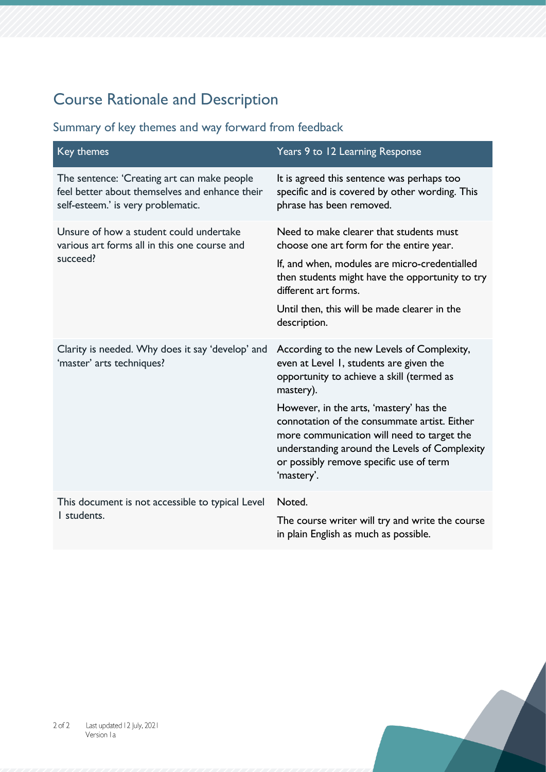# Course Rationale and Description

| Key themes                                                                                                                          | Years 9 to 12 Learning Response                                                                                                                                                                                                                                                                                                                                                                    |
|-------------------------------------------------------------------------------------------------------------------------------------|----------------------------------------------------------------------------------------------------------------------------------------------------------------------------------------------------------------------------------------------------------------------------------------------------------------------------------------------------------------------------------------------------|
| The sentence: 'Creating art can make people<br>feel better about themselves and enhance their<br>self-esteem.' is very problematic. | It is agreed this sentence was perhaps too<br>specific and is covered by other wording. This<br>phrase has been removed.                                                                                                                                                                                                                                                                           |
| Unsure of how a student could undertake<br>various art forms all in this one course and<br>succeed?                                 | Need to make clearer that students must<br>choose one art form for the entire year.<br>If, and when, modules are micro-credentialled<br>then students might have the opportunity to try<br>different art forms.<br>Until then, this will be made clearer in the<br>description.                                                                                                                    |
| Clarity is needed. Why does it say 'develop' and<br>'master' arts techniques?                                                       | According to the new Levels of Complexity,<br>even at Level 1, students are given the<br>opportunity to achieve a skill (termed as<br>mastery).<br>However, in the arts, 'mastery' has the<br>connotation of the consummate artist. Either<br>more communication will need to target the<br>understanding around the Levels of Complexity<br>or possibly remove specific use of term<br>'mastery'. |
| This document is not accessible to typical Level<br>I students.                                                                     | Noted.<br>The course writer will try and write the course<br>in plain English as much as possible.                                                                                                                                                                                                                                                                                                 |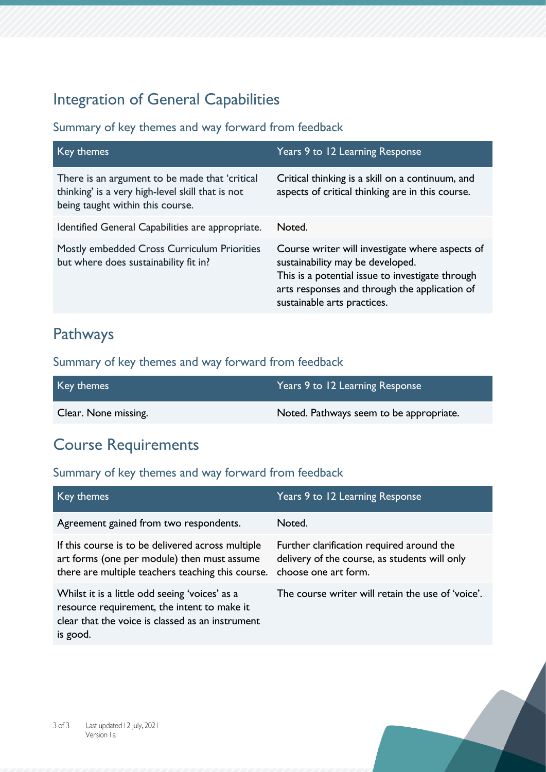### Integration of General Capabilities

#### Summary of key themes and way forward from feedback

| Key themes                                                                                                                             | Years 9 to 12 Learning Response                                                                                                                                                                                         |
|----------------------------------------------------------------------------------------------------------------------------------------|-------------------------------------------------------------------------------------------------------------------------------------------------------------------------------------------------------------------------|
| There is an argument to be made that 'critical<br>thinking' is a very high-level skill that is not<br>being taught within this course. | Critical thinking is a skill on a continuum, and<br>aspects of critical thinking are in this course.                                                                                                                    |
| Identified General Capabilities are appropriate.                                                                                       | Noted.                                                                                                                                                                                                                  |
| Mostly embedded Cross Curriculum Priorities<br>but where does sustainability fit in?                                                   | Course writer will investigate where aspects of<br>sustainability may be developed.<br>This is a potential issue to investigate through<br>arts responses and through the application of<br>sustainable arts practices. |

### Pathways

### Summary of key themes and way forward from feedback

| Key themes           | Years 9 to 12 Learning Response         |
|----------------------|-----------------------------------------|
| Clear. None missing. | Noted. Pathways seem to be appropriate. |

### Course Requirements

| Key themes                                                                                                                                                    | Years 9 to 12 Learning Response                                                                                    |
|---------------------------------------------------------------------------------------------------------------------------------------------------------------|--------------------------------------------------------------------------------------------------------------------|
| Agreement gained from two respondents.                                                                                                                        | Noted.                                                                                                             |
| If this course is to be delivered across multiple<br>art forms (one per module) then must assume<br>there are multiple teachers teaching this course.         | Further clarification required around the<br>delivery of the course, as students will only<br>choose one art form. |
| Whilst it is a little odd seeing 'voices' as a<br>resource requirement, the intent to make it<br>clear that the voice is classed as an instrument<br>is good. | The course writer will retain the use of 'voice'.                                                                  |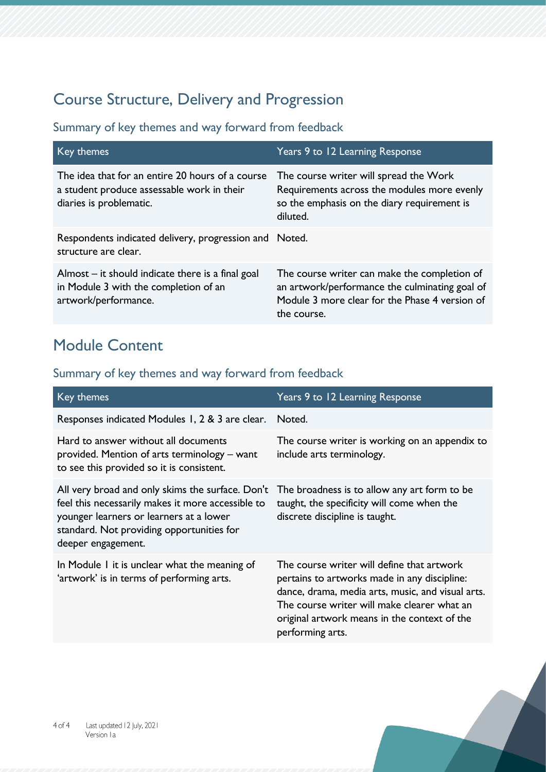## Course Structure, Delivery and Progression

### Summary of key themes and way forward from feedback

| Key themes                                                                                                                | Years 9 to 12 Learning Response                                                                                                                                 |
|---------------------------------------------------------------------------------------------------------------------------|-----------------------------------------------------------------------------------------------------------------------------------------------------------------|
| The idea that for an entire 20 hours of a course<br>a student produce assessable work in their<br>diaries is problematic. | The course writer will spread the Work<br>Requirements across the modules more evenly<br>so the emphasis on the diary requirement is<br>diluted.                |
| Respondents indicated delivery, progression and Noted.<br>structure are clear.                                            |                                                                                                                                                                 |
| Almost $-$ it should indicate there is a final goal<br>in Module 3 with the completion of an<br>artwork/performance.      | The course writer can make the completion of<br>an artwork/performance the culminating goal of<br>Module 3 more clear for the Phase 4 version of<br>the course. |

### Module Content

| Key themes                                                                                                                                                                                                          | Years 9 to 12 Learning Response                                                                                                                                                                                                                                    |
|---------------------------------------------------------------------------------------------------------------------------------------------------------------------------------------------------------------------|--------------------------------------------------------------------------------------------------------------------------------------------------------------------------------------------------------------------------------------------------------------------|
| Responses indicated Modules 1, 2 & 3 are clear.                                                                                                                                                                     | Noted.                                                                                                                                                                                                                                                             |
| Hard to answer without all documents<br>provided. Mention of arts terminology – want<br>to see this provided so it is consistent.                                                                                   | The course writer is working on an appendix to<br>include arts terminology.                                                                                                                                                                                        |
| All very broad and only skims the surface. Don't<br>feel this necessarily makes it more accessible to<br>younger learners or learners at a lower<br>standard. Not providing opportunities for<br>deeper engagement. | The broadness is to allow any art form to be<br>taught, the specificity will come when the<br>discrete discipline is taught.                                                                                                                                       |
| In Module I it is unclear what the meaning of<br>'artwork' is in terms of performing arts.                                                                                                                          | The course writer will define that artwork<br>pertains to artworks made in any discipline:<br>dance, drama, media arts, music, and visual arts.<br>The course writer will make clearer what an<br>original artwork means in the context of the<br>performing arts. |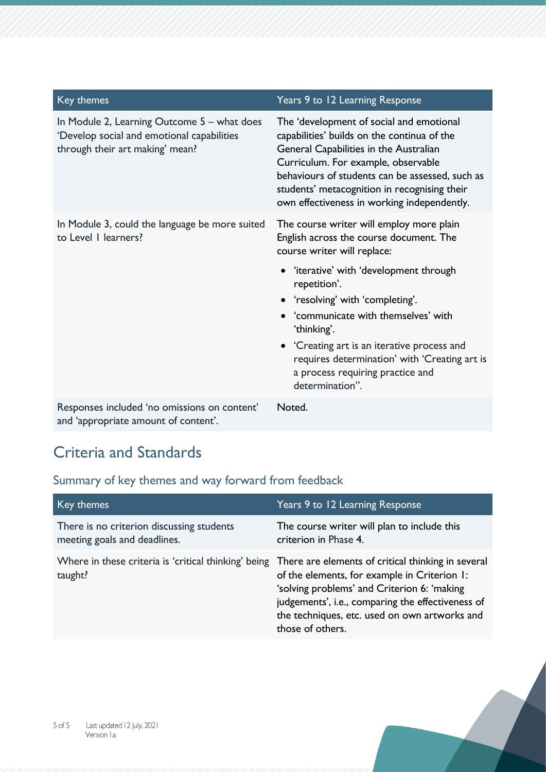| Key themes                                                                                                                   | Years 9 to 12 Learning Response                                                                                                                                                                                                                                                                                                                                                                                                 |
|------------------------------------------------------------------------------------------------------------------------------|---------------------------------------------------------------------------------------------------------------------------------------------------------------------------------------------------------------------------------------------------------------------------------------------------------------------------------------------------------------------------------------------------------------------------------|
| In Module 2, Learning Outcome 5 – what does<br>'Develop social and emotional capabilities<br>through their art making' mean? | The 'development of social and emotional<br>capabilities' builds on the continua of the<br>General Capabilities in the Australian<br>Curriculum. For example, observable<br>behaviours of students can be assessed, such as<br>students' metacognition in recognising their<br>own effectiveness in working independently.                                                                                                      |
| In Module 3, could the language be more suited<br>to Level I learners?                                                       | The course writer will employ more plain<br>English across the course document. The<br>course writer will replace:<br>• 'iterative' with 'development through<br>repetition'.<br>• 'resolving' with 'completing'.<br>• 'communicate with themselves' with<br>'thinking'.<br>• 'Creating art is an iterative process and<br>requires determination' with 'Creating art is<br>a process requiring practice and<br>determination". |
| Responses included 'no omissions on content'<br>and 'appropriate amount of content'.                                         | Noted.                                                                                                                                                                                                                                                                                                                                                                                                                          |

Criteria and Standards

| Key themes                                                                                                         | Years 9 to 12 Learning Response                                                                                                                                                                                       |
|--------------------------------------------------------------------------------------------------------------------|-----------------------------------------------------------------------------------------------------------------------------------------------------------------------------------------------------------------------|
| There is no criterion discussing students<br>meeting goals and deadlines.                                          | The course writer will plan to include this<br>criterion in Phase 4.                                                                                                                                                  |
| Where in these criteria is 'critical thinking' being There are elements of critical thinking in several<br>taught? | of the elements, for example in Criterion 1:<br>'solving problems' and Criterion 6: 'making<br>judgements', i.e., comparing the effectiveness of<br>the techniques, etc. used on own artworks and<br>those of others. |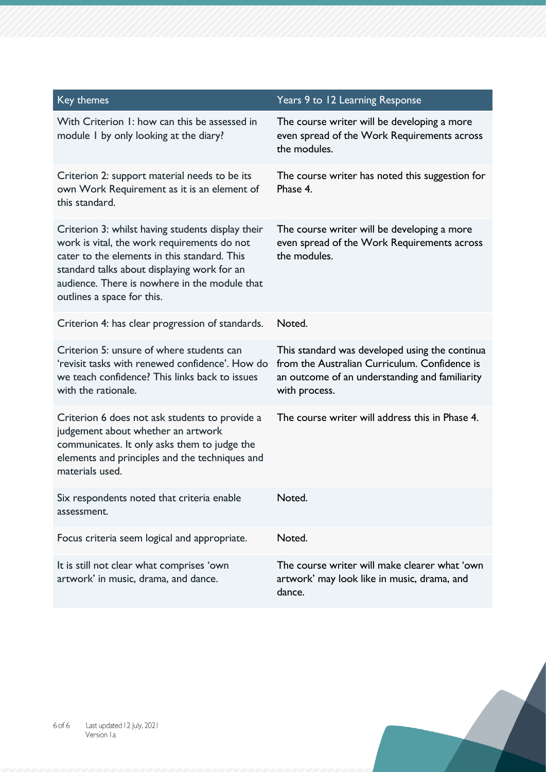| Key themes                                                                                                                                                                                                                                                                     | Years 9 to 12 Learning Response                                                                                                                                    |
|--------------------------------------------------------------------------------------------------------------------------------------------------------------------------------------------------------------------------------------------------------------------------------|--------------------------------------------------------------------------------------------------------------------------------------------------------------------|
| With Criterion 1: how can this be assessed in<br>module I by only looking at the diary?                                                                                                                                                                                        | The course writer will be developing a more<br>even spread of the Work Requirements across<br>the modules.                                                         |
| Criterion 2: support material needs to be its<br>own Work Requirement as it is an element of<br>this standard.                                                                                                                                                                 | The course writer has noted this suggestion for<br>Phase 4.                                                                                                        |
| Criterion 3: whilst having students display their<br>work is vital, the work requirements do not<br>cater to the elements in this standard. This<br>standard talks about displaying work for an<br>audience. There is nowhere in the module that<br>outlines a space for this. | The course writer will be developing a more<br>even spread of the Work Requirements across<br>the modules.                                                         |
| Criterion 4: has clear progression of standards.                                                                                                                                                                                                                               | Noted.                                                                                                                                                             |
| Criterion 5: unsure of where students can<br>'revisit tasks with renewed confidence'. How do<br>we teach confidence? This links back to issues<br>with the rationale.                                                                                                          | This standard was developed using the continua<br>from the Australian Curriculum. Confidence is<br>an outcome of an understanding and familiarity<br>with process. |
| Criterion 6 does not ask students to provide a<br>judgement about whether an artwork<br>communicates. It only asks them to judge the<br>elements and principles and the techniques and<br>materials used.                                                                      | The course writer will address this in Phase 4.                                                                                                                    |
| Six respondents noted that criteria enable<br>assessment.                                                                                                                                                                                                                      | Noted.                                                                                                                                                             |
| Focus criteria seem logical and appropriate.                                                                                                                                                                                                                                   | Noted.                                                                                                                                                             |
| It is still not clear what comprises 'own<br>artwork' in music, drama, and dance.                                                                                                                                                                                              | The course writer will make clearer what 'own<br>artwork' may look like in music, drama, and<br>dance.                                                             |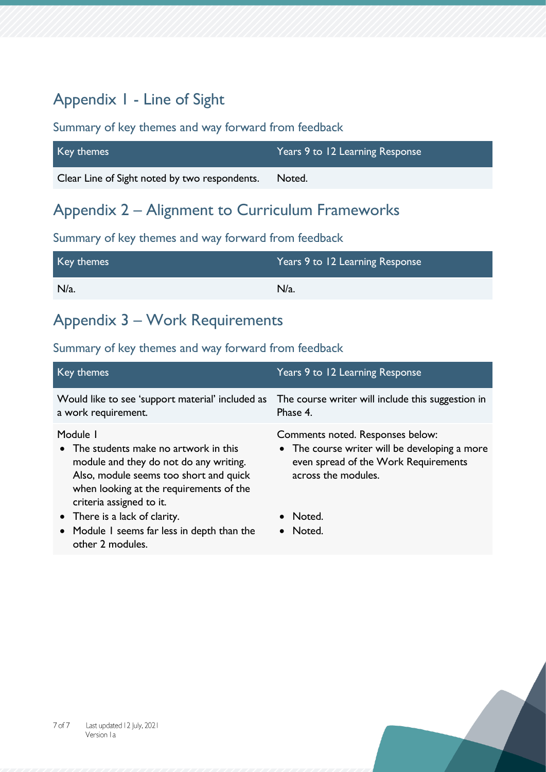### Appendix 1 - Line of Sight

#### Summary of key themes and way forward from feedback

| Key themes                                    | Years 9 to 12 Learning Response |
|-----------------------------------------------|---------------------------------|
| Clear Line of Sight noted by two respondents. | Noted.                          |

### Appendix 2 – Alignment to Curriculum Frameworks

#### Summary of key themes and way forward from feedback

| Key themes | Years 9 to 12 Learning Response |
|------------|---------------------------------|
| $N/a$ .    | $N/a$ .                         |

### Appendix 3 – Work Requirements

| Key themes                                                                                                                                                                                                    | Years 9 to 12 Learning Response                                                                                                                  |
|---------------------------------------------------------------------------------------------------------------------------------------------------------------------------------------------------------------|--------------------------------------------------------------------------------------------------------------------------------------------------|
| Would like to see 'support material' included as<br>a work requirement.                                                                                                                                       | The course writer will include this suggestion in<br>Phase 4.                                                                                    |
| Module I<br>• The students make no artwork in this<br>module and they do not do any writing.<br>Also, module seems too short and quick<br>when looking at the requirements of the<br>criteria assigned to it. | Comments noted. Responses below:<br>• The course writer will be developing a more<br>even spread of the Work Requirements<br>across the modules. |
| • There is a lack of clarity.<br>• Module I seems far less in depth than the<br>other 2 modules.                                                                                                              | Noted.<br>Noted.                                                                                                                                 |

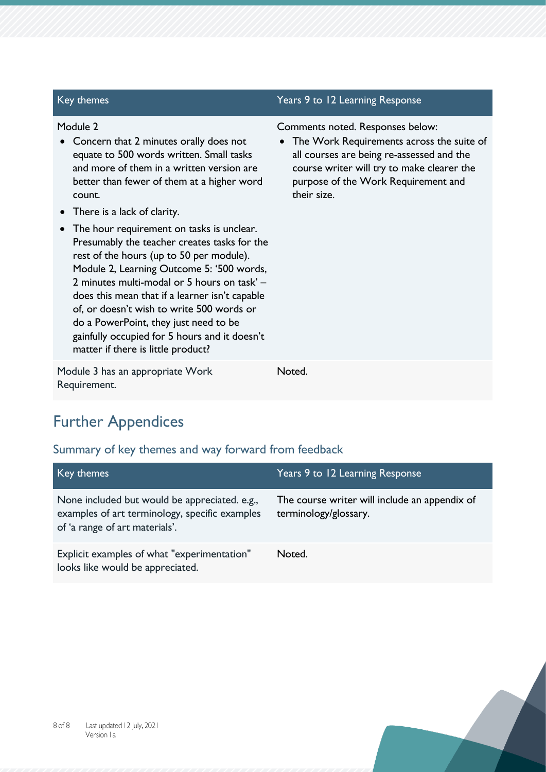| Key themes                                                                                                                                                                                                                                                                                                                                                                                                                                                                                                                                                                                                                                                                                                                       | Years 9 to 12 Learning Response                                                                                                                                                                                                  |
|----------------------------------------------------------------------------------------------------------------------------------------------------------------------------------------------------------------------------------------------------------------------------------------------------------------------------------------------------------------------------------------------------------------------------------------------------------------------------------------------------------------------------------------------------------------------------------------------------------------------------------------------------------------------------------------------------------------------------------|----------------------------------------------------------------------------------------------------------------------------------------------------------------------------------------------------------------------------------|
| Module 2<br>Concern that 2 minutes orally does not<br>equate to 500 words written. Small tasks<br>and more of them in a written version are<br>better than fewer of them at a higher word<br>count.<br>There is a lack of clarity.<br>$\bullet$<br>The hour requirement on tasks is unclear.<br>$\bullet$<br>Presumably the teacher creates tasks for the<br>rest of the hours (up to 50 per module).<br>Module 2, Learning Outcome 5: '500 words,<br>2 minutes multi-modal or 5 hours on task' -<br>does this mean that if a learner isn't capable<br>of, or doesn't wish to write 500 words or<br>do a PowerPoint, they just need to be<br>gainfully occupied for 5 hours and it doesn't<br>matter if there is little product? | Comments noted. Responses below:<br>• The Work Requirements across the suite of<br>all courses are being re-assessed and the<br>course writer will try to make clearer the<br>purpose of the Work Requirement and<br>their size. |
| Module 3 has an appropriate Work<br>Requirement.                                                                                                                                                                                                                                                                                                                                                                                                                                                                                                                                                                                                                                                                                 | Noted.                                                                                                                                                                                                                           |

# Further Appendices

| Key themes                                                                                                                        | Years 9 to 12 Learning Response                                        |
|-----------------------------------------------------------------------------------------------------------------------------------|------------------------------------------------------------------------|
| None included but would be appreciated. e.g.,<br>examples of art terminology, specific examples<br>of 'a range of art materials'. | The course writer will include an appendix of<br>terminology/glossary. |
| Explicit examples of what "experimentation"<br>looks like would be appreciated.                                                   | Noted.                                                                 |